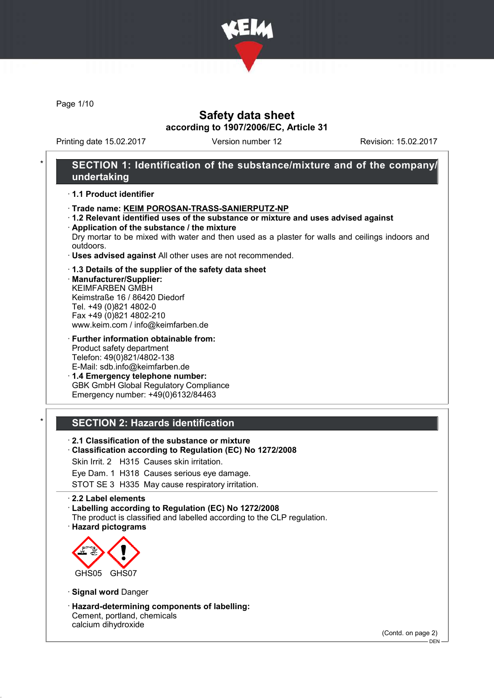

Page 1/10

### Safety data sheet according to 1907/2006/EC, Article 31

Printing date 15.02.2017 Version number 12 Revision: 15.02.2017

### SECTION 1: Identification of the substance/mixture and of the company/ undertaking

#### · 1.1 Product identifier

- · Trade name: KEIM POROSAN-TRASS-SANIERPUTZ-NP
- · 1.2 Relevant identified uses of the substance or mixture and uses advised against
- · Application of the substance / the mixture Dry mortar to be mixed with water and then used as a plaster for walls and ceilings indoors and outdoors.
- · Uses advised against All other uses are not recommended.

#### · 1.3 Details of the supplier of the safety data sheet

· Manufacturer/Supplier: KEIMFARBEN GMBH Keimstraße 16 / 86420 Diedorf Tel. +49 (0)821 4802-0 Fax +49 (0)821 4802-210 www.keim.com / info@keimfarben.de

- · Further information obtainable from: Product safety department Telefon: 49(0)821/4802-138 E-Mail: sdb.info@keimfarben.de
- · 1.4 Emergency telephone number: GBK GmbH Global Regulatory Compliance Emergency number: +49(0)6132/84463

### **SECTION 2: Hazards identification**

- · 2.1 Classification of the substance or mixture
- · Classification according to Regulation (EC) No 1272/2008
- Skin Irrit. 2 H315 Causes skin irritation.
- Eye Dam. 1 H318 Causes serious eye damage.
- STOT SE 3 H335 May cause respiratory irritation.

#### · 2.2 Label elements

· Labelling according to Regulation (EC) No 1272/2008

- The product is classified and labelled according to the CLP regulation.
- · Hazard pictograms



- · Signal word Danger
- · Hazard-determining components of labelling: Cement, portland, chemicals calcium dihydroxide

(Contd. on page 2)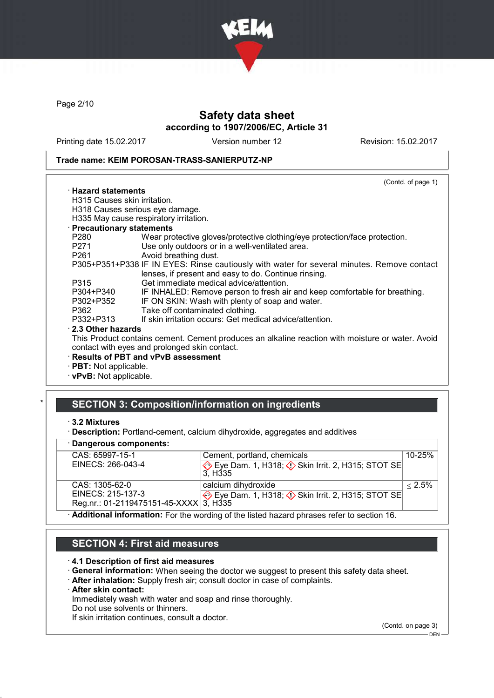

Page 2/10

# Safety data sheet according to 1907/2006/EC, Article 31

Printing date 15.02.2017 Version number 12 Revision: 15.02.2017

#### Trade name: KEIM POROSAN-TRASS-SANIERPUTZ-NP

|                               | (Contd. of page 1)                                                                               |
|-------------------------------|--------------------------------------------------------------------------------------------------|
| $\cdot$ Hazard statements     |                                                                                                  |
| H315 Causes skin irritation.  |                                                                                                  |
|                               | H318 Causes serious eye damage.                                                                  |
|                               | H335 May cause respiratory irritation.                                                           |
| · Precautionary statements    |                                                                                                  |
| P280                          | Wear protective gloves/protective clothing/eye protection/face protection.                       |
| P271                          | Use only outdoors or in a well-ventilated area.                                                  |
| P261 and the P261             | Avoid breathing dust.                                                                            |
|                               | P305+P351+P338 IF IN EYES: Rinse cautiously with water for several minutes. Remove contact       |
|                               | lenses, if present and easy to do. Continue rinsing.                                             |
| P315                          | Get immediate medical advice/attention.                                                          |
| P304+P340                     | IF INHALED: Remove person to fresh air and keep comfortable for breathing.                       |
| P302+P352                     | IF ON SKIN: Wash with plenty of soap and water.                                                  |
| P362                          | Take off contaminated clothing.                                                                  |
| P332+P313                     | If skin irritation occurs: Get medical advice/attention.                                         |
| 2.3 Other hazards             |                                                                                                  |
|                               | This Product contains cement. Cement produces an alkaline reaction with moisture or water. Avoid |
|                               | contact with eyes and prolonged skin contact.                                                    |
|                               | · Results of PBT and vPvB assessment                                                             |
| · PBT: Not applicable.        |                                                                                                  |
| $\cdot$ vPvB: Not applicable. |                                                                                                  |

# SECTION 3: Composition/information on ingredients

#### · Dangerous components:

| $-$ , $ -$ , $-$ , |                                                                                          |                                                           |            |
|--------------------|------------------------------------------------------------------------------------------|-----------------------------------------------------------|------------|
|                    | CAS: 65997-15-1                                                                          | Cement, portland, chemicals                               | $10 - 25%$ |
|                    | EINECS: 266-043-4                                                                        | Eye Dam. 1, H318; $\Diamond$ Skin Irrit. 2, H315; STOT SE |            |
|                    |                                                                                          | 3. H <sub>335</sub>                                       |            |
|                    | CAS: 1305-62-0                                                                           | calcium dihydroxide                                       | $< 2.5\%$  |
| EINECS: 215-137-3  |                                                                                          | Eye Dam. 1, H318; $\Diamond$ Skin Irrit. 2, H315; STOT SE |            |
|                    | Reg.nr.: 01-2119475151-45-XXXX 3, H335                                                   |                                                           |            |
|                    | Additional information: Ear the wording of the listed hazard phrases refer to section 16 |                                                           |            |

· Additional information: For the wording of the listed hazard phrases refer to section 16.

# SECTION 4: First aid measures

#### · 4.1 Description of first aid measures

- · General information: When seeing the doctor we suggest to present this safety data sheet.
- · After inhalation: Supply fresh air; consult doctor in case of complaints.
- · After skin contact:

Immediately wash with water and soap and rinse thoroughly.

Do not use solvents or thinners.

If skin irritation continues, consult a doctor.

(Contd. on page 3)  $-$  DEN -

<sup>·</sup> 3.2 Mixtures

<sup>·</sup> Description: Portland-cement, calcium dihydroxide, aggregates and additives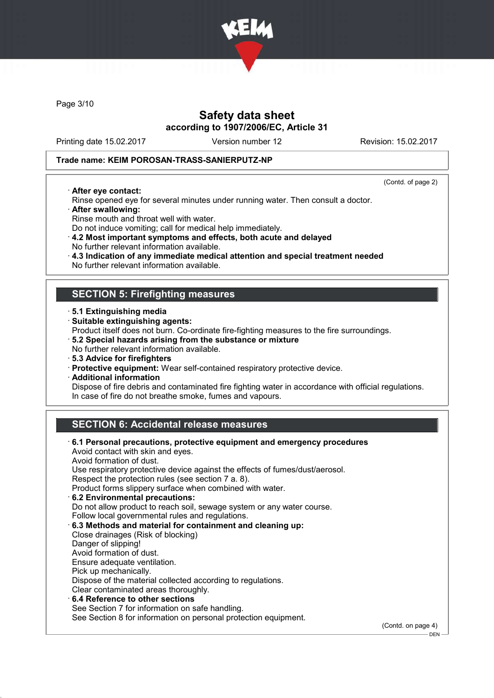

Page 3/10

# Safety data sheet according to 1907/2006/EC, Article 31

Printing date 15.02.2017 Version number 12 Revision: 15.02.2017

#### Trade name: KEIM POROSAN-TRASS-SANIERPUTZ-NP

· After eye contact:

(Contd. of page 2)

.<br>– DEN -

- Rinse opened eye for several minutes under running water. Then consult a doctor. · After swallowing:
- Rinse mouth and throat well with water.
- Do not induce vomiting; call for medical help immediately.
- · 4.2 Most important symptoms and effects, both acute and delayed No further relevant information available.
- · 4.3 Indication of any immediate medical attention and special treatment needed
- No further relevant information available.

### SECTION 5: Firefighting measures

- · 5.1 Extinguishing media
- · Suitable extinguishing agents:
- Product itself does not burn. Co-ordinate fire-fighting measures to the fire surroundings.
- · 5.2 Special hazards arising from the substance or mixture
- No further relevant information available.
- · 5.3 Advice for firefighters
- · Protective equipment: Wear self-contained respiratory protective device.
- · Additional information

Dispose of fire debris and contaminated fire fighting water in accordance with official regulations. In case of fire do not breathe smoke, fumes and vapours.

# SECTION 6: Accidental release measures

| 6.1 Personal precautions, protective equipment and emergency procedures<br>Avoid contact with skin and eyes. |                    |
|--------------------------------------------------------------------------------------------------------------|--------------------|
| Avoid formation of dust.                                                                                     |                    |
| Use respiratory protective device against the effects of fumes/dust/aerosol.                                 |                    |
| Respect the protection rules (see section 7 a. 8).                                                           |                    |
| Product forms slippery surface when combined with water.                                                     |                    |
| 6.2 Environmental precautions:                                                                               |                    |
| Do not allow product to reach soil, sewage system or any water course.                                       |                    |
| Follow local governmental rules and regulations.                                                             |                    |
| 6.3 Methods and material for containment and cleaning up:                                                    |                    |
| Close drainages (Risk of blocking)                                                                           |                    |
| Danger of slipping!                                                                                          |                    |
| Avoid formation of dust.                                                                                     |                    |
| Ensure adequate ventilation.                                                                                 |                    |
| Pick up mechanically.                                                                                        |                    |
| Dispose of the material collected according to regulations.                                                  |                    |
| Clear contaminated areas thoroughly.                                                                         |                    |
| $\cdot$ 6.4 Reference to other sections                                                                      |                    |
| See Section 7 for information on safe handling.                                                              |                    |
| See Section 8 for information on personal protection equipment.                                              |                    |
|                                                                                                              | (Contd. on page 4) |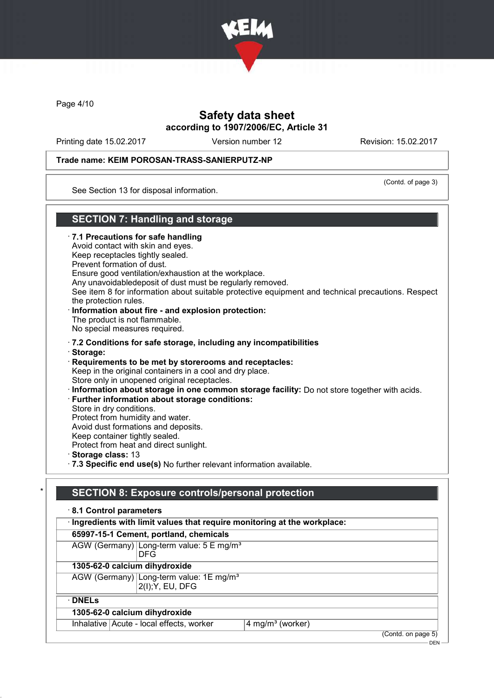

Page 4/10

### Safety data sheet according to 1907/2006/EC, Article 31

Printing date 15.02.2017 Version number 12 Revision: 15.02.2017

#### Trade name: KEIM POROSAN-TRASS-SANIERPUTZ-NP

See Section 13 for disposal information.

(Contd. of page 3)

### SECTION 7: Handling and storage

· 7.1 Precautions for safe handling Avoid contact with skin and eyes. Keep receptacles tightly sealed. Prevent formation of dust. Ensure good ventilation/exhaustion at the workplace. Any unavoidabledeposit of dust must be regularly removed. See item 8 for information about suitable protective equipment and technical precautions. Respect the protection rules. · Information about fire - and explosion protection: The product is not flammable. No special measures required. · 7.2 Conditions for safe storage, including any incompatibilities · Storage: · Requirements to be met by storerooms and receptacles: Keep in the original containers in a cool and dry place. Store only in unopened original receptacles. · Information about storage in one common storage facility: Do not store together with acids. · Further information about storage conditions: Store in dry conditions. Protect from humidity and water. Avoid dust formations and deposits. Keep container tightly sealed. Protect from heat and direct sunlight. · Storage class: 13 · 7.3 Specific end use(s) No further relevant information available. SECTION 8: Exposure controls/personal protection

# · 8.1 Control parameters

| · Ingredients with limit values that require monitoring at the workplace: |                                                                         |                              |                    |  |  |
|---------------------------------------------------------------------------|-------------------------------------------------------------------------|------------------------------|--------------------|--|--|
|                                                                           | 65997-15-1 Cement, portland, chemicals                                  |                              |                    |  |  |
|                                                                           | AGW (Germany) Long-term value: 5 E mg/m <sup>3</sup><br>DFG             |                              |                    |  |  |
| 1305-62-0 calcium dihydroxide                                             |                                                                         |                              |                    |  |  |
|                                                                           | AGW (Germany) Long-term value: 1E mg/m <sup>3</sup><br>2(I); Y, EU, DFG |                              |                    |  |  |
| $\cdot$ DNELs                                                             |                                                                         |                              |                    |  |  |
| 1305-62-0 calcium dihydroxide                                             |                                                                         |                              |                    |  |  |
|                                                                           | Inhalative Acute - local effects, worker                                | 4 mg/m <sup>3</sup> (worker) |                    |  |  |
|                                                                           |                                                                         |                              | (Contd. on page 5) |  |  |
|                                                                           |                                                                         |                              | $DFN -$            |  |  |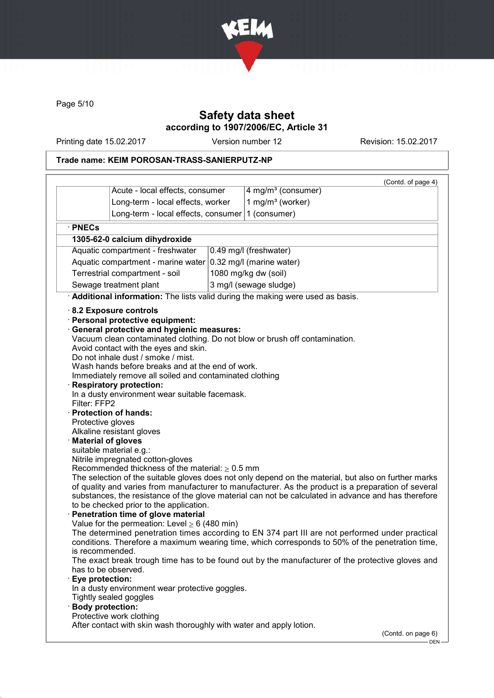

Page 5/10

# Safety data sheet according to 1907/2006/EC, Article 31

Printing date 15.02.2017 Version number 12 Revision: 15.02.2017

# Trade name: KEIM POROSAN-TRASS-SANIERPUTZ-NP

|                                                                                                                                                                                                                                                                                                                                                                                                                                                                                                                                                                                                                                                                                                                                                                                                                                                                                                                                                                                                                                                                                                                                                                                                                                                                                                                                                                                                                                                                                                                                                                                                                                                                                                                                                                                                                                                                                        |                                                             |                              |                                | (Contd. of page 4) |
|----------------------------------------------------------------------------------------------------------------------------------------------------------------------------------------------------------------------------------------------------------------------------------------------------------------------------------------------------------------------------------------------------------------------------------------------------------------------------------------------------------------------------------------------------------------------------------------------------------------------------------------------------------------------------------------------------------------------------------------------------------------------------------------------------------------------------------------------------------------------------------------------------------------------------------------------------------------------------------------------------------------------------------------------------------------------------------------------------------------------------------------------------------------------------------------------------------------------------------------------------------------------------------------------------------------------------------------------------------------------------------------------------------------------------------------------------------------------------------------------------------------------------------------------------------------------------------------------------------------------------------------------------------------------------------------------------------------------------------------------------------------------------------------------------------------------------------------------------------------------------------------|-------------------------------------------------------------|------------------------------|--------------------------------|--------------------|
|                                                                                                                                                                                                                                                                                                                                                                                                                                                                                                                                                                                                                                                                                                                                                                                                                                                                                                                                                                                                                                                                                                                                                                                                                                                                                                                                                                                                                                                                                                                                                                                                                                                                                                                                                                                                                                                                                        | Acute - local effects, consumer                             |                              | 4 mg/m <sup>3</sup> (consumer) |                    |
| Long-term - local effects, worker                                                                                                                                                                                                                                                                                                                                                                                                                                                                                                                                                                                                                                                                                                                                                                                                                                                                                                                                                                                                                                                                                                                                                                                                                                                                                                                                                                                                                                                                                                                                                                                                                                                                                                                                                                                                                                                      |                                                             | 1 mg/m <sup>3</sup> (worker) |                                |                    |
|                                                                                                                                                                                                                                                                                                                                                                                                                                                                                                                                                                                                                                                                                                                                                                                                                                                                                                                                                                                                                                                                                                                                                                                                                                                                                                                                                                                                                                                                                                                                                                                                                                                                                                                                                                                                                                                                                        | Long-term - local effects, consumer                         |                              | 1 (consumer)                   |                    |
| · PNECs                                                                                                                                                                                                                                                                                                                                                                                                                                                                                                                                                                                                                                                                                                                                                                                                                                                                                                                                                                                                                                                                                                                                                                                                                                                                                                                                                                                                                                                                                                                                                                                                                                                                                                                                                                                                                                                                                |                                                             |                              |                                |                    |
|                                                                                                                                                                                                                                                                                                                                                                                                                                                                                                                                                                                                                                                                                                                                                                                                                                                                                                                                                                                                                                                                                                                                                                                                                                                                                                                                                                                                                                                                                                                                                                                                                                                                                                                                                                                                                                                                                        | 1305-62-0 calcium dihydroxide                               |                              |                                |                    |
|                                                                                                                                                                                                                                                                                                                                                                                                                                                                                                                                                                                                                                                                                                                                                                                                                                                                                                                                                                                                                                                                                                                                                                                                                                                                                                                                                                                                                                                                                                                                                                                                                                                                                                                                                                                                                                                                                        | Aquatic compartment - freshwater                            |                              | 0.49 mg/l (freshwater)         |                    |
|                                                                                                                                                                                                                                                                                                                                                                                                                                                                                                                                                                                                                                                                                                                                                                                                                                                                                                                                                                                                                                                                                                                                                                                                                                                                                                                                                                                                                                                                                                                                                                                                                                                                                                                                                                                                                                                                                        | Aquatic compartment - marine water 0.32 mg/l (marine water) |                              |                                |                    |
|                                                                                                                                                                                                                                                                                                                                                                                                                                                                                                                                                                                                                                                                                                                                                                                                                                                                                                                                                                                                                                                                                                                                                                                                                                                                                                                                                                                                                                                                                                                                                                                                                                                                                                                                                                                                                                                                                        | Terrestrial compartment - soil                              |                              | 1080 mg/kg dw (soil)           |                    |
|                                                                                                                                                                                                                                                                                                                                                                                                                                                                                                                                                                                                                                                                                                                                                                                                                                                                                                                                                                                                                                                                                                                                                                                                                                                                                                                                                                                                                                                                                                                                                                                                                                                                                                                                                                                                                                                                                        | Sewage treatment plant                                      |                              | 3 mg/l (sewage sludge)         |                    |
|                                                                                                                                                                                                                                                                                                                                                                                                                                                                                                                                                                                                                                                                                                                                                                                                                                                                                                                                                                                                                                                                                                                                                                                                                                                                                                                                                                                                                                                                                                                                                                                                                                                                                                                                                                                                                                                                                        |                                                             |                              |                                |                    |
| Additional information: The lists valid during the making were used as basis.<br>8.2 Exposure controls<br>· Personal protective equipment:<br><b>General protective and hygienic measures:</b><br>Vacuum clean contaminated clothing. Do not blow or brush off contamination.<br>Avoid contact with the eyes and skin.<br>Do not inhale dust / smoke / mist.<br>Wash hands before breaks and at the end of work.<br>Immediately remove all soiled and contaminated clothing<br><b>Respiratory protection:</b><br>In a dusty environment wear suitable facemask.<br>Filter: FFP2<br>· Protection of hands:<br>Protective gloves<br>Alkaline resistant gloves<br><b>Material of gloves</b><br>suitable material e.g.:<br>Nitrile impregnated cotton-gloves<br>Recommended thickness of the material: $\geq 0.5$ mm<br>The selection of the suitable gloves does not only depend on the material, but also on further marks<br>of quality and varies from manufacturer to manufacturer. As the product is a preparation of several<br>substances, the resistance of the glove material can not be calculated in advance and has therefore<br>to be checked prior to the application.<br>Penetration time of glove material<br>Value for the permeation: Level $\geq 6$ (480 min)<br>The determined penetration times according to EN 374 part III are not performed under practical<br>conditions. Therefore a maximum wearing time, which corresponds to 50% of the penetration time,<br>is recommended.<br>The exact break trough time has to be found out by the manufacturer of the protective gloves and<br>has to be observed.<br>Eye protection:<br>In a dusty environment wear protective goggles.<br>Tightly sealed goggles<br><b>Body protection:</b><br>Protective work clothing<br>After contact with skin wash thoroughly with water and apply lotion.<br>(Contd. on page 6) |                                                             |                              |                                |                    |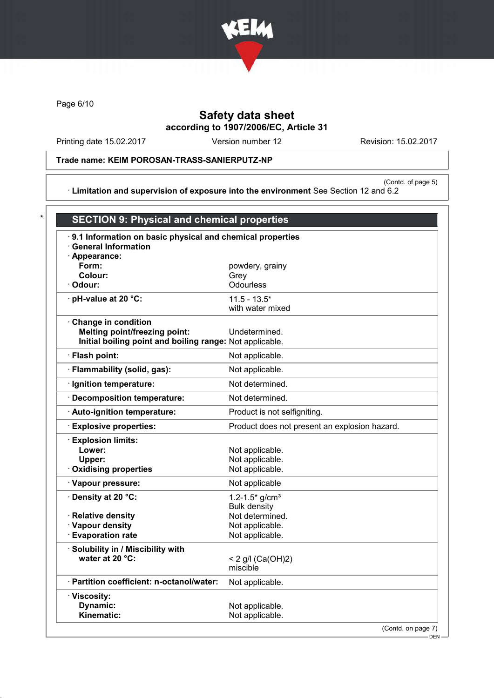

Page 6/10

# Safety data sheet according to 1907/2006/EC, Article 31

Printing date 15.02.2017 Version number 12 Revision: 15.02.2017

### Trade name: KEIM POROSAN-TRASS-SANIERPUTZ-NP

(Contd. of page 5) · Limitation and supervision of exposure into the environment See Section 12 and 6.2

| 9.1 Information on basic physical and chemical properties |                                               |  |  |
|-----------------------------------------------------------|-----------------------------------------------|--|--|
| <b>General Information</b>                                |                                               |  |  |
| · Appearance:<br>Form:                                    | powdery, grainy                               |  |  |
| Colour:                                                   | Grey                                          |  |  |
| · Odour:                                                  | Odourless                                     |  |  |
| · pH-value at 20 °C:                                      | $11.5 - 13.5*$                                |  |  |
|                                                           | with water mixed                              |  |  |
| Change in condition                                       |                                               |  |  |
| <b>Melting point/freezing point:</b>                      | Undetermined.                                 |  |  |
| Initial boiling point and boiling range: Not applicable.  |                                               |  |  |
| · Flash point:                                            | Not applicable.                               |  |  |
| · Flammability (solid, gas):                              | Not applicable.                               |  |  |
| · Ignition temperature:                                   | Not determined.                               |  |  |
| Decomposition temperature:                                | Not determined.                               |  |  |
| · Auto-ignition temperature:                              | Product is not selfigniting.                  |  |  |
| <b>Explosive properties:</b>                              | Product does not present an explosion hazard. |  |  |
| <b>Explosion limits:</b>                                  |                                               |  |  |
| Lower:                                                    | Not applicable.                               |  |  |
| Upper:                                                    | Not applicable.                               |  |  |
| Oxidising properties                                      | Not applicable.                               |  |  |
| · Vapour pressure:                                        | Not applicable                                |  |  |
| · Density at 20 °C:                                       | 1.2-1.5 $*$ g/cm <sup>3</sup>                 |  |  |
|                                                           | <b>Bulk density</b><br>Not determined.        |  |  |
| · Relative density<br>· Vapour density                    | Not applicable.                               |  |  |
| · Evaporation rate                                        | Not applicable.                               |  |  |
| · Solubility in / Miscibility with                        |                                               |  |  |
| water at $20 °C$ :                                        | < 2 g/l (Ca(OH)2)                             |  |  |
|                                                           | miscible                                      |  |  |
| · Partition coefficient: n-octanol/water:                 | Not applicable.                               |  |  |
| · Viscosity:                                              |                                               |  |  |
| <b>Dynamic:</b><br>Kinematic:                             | Not applicable.<br>Not applicable.            |  |  |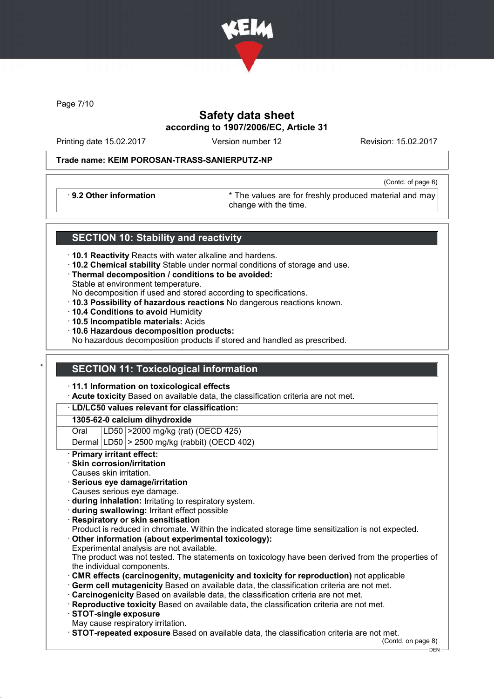

Page 7/10

# Safety data sheet according to 1907/2006/EC, Article 31

Printing date 15.02.2017 Version number 12 Revision: 15.02.2017

(Contd. of page 6)

### Trade name: KEIM POROSAN-TRASS-SANIERPUTZ-NP

· 9.2 Other information \* The values are for freshly produced material and may change with the time.

### SECTION 10: Stability and reactivity

- · 10.1 Reactivity Reacts with water alkaline and hardens.
- · 10.2 Chemical stability Stable under normal conditions of storage and use.
- · Thermal decomposition / conditions to be avoided: Stable at environment temperature.
- No decomposition if used and stored according to specifications.
- · 10.3 Possibility of hazardous reactions No dangerous reactions known.
- · 10.4 Conditions to avoid Humidity
- · 10.5 Incompatible materials: Acids
- · 10.6 Hazardous decomposition products:

No hazardous decomposition products if stored and handled as prescribed.

# **SECTION 11: Toxicological information**

#### · 11.1 Information on toxicological effects

Acute toxicity Based on available data, the classification criteria are not met.

### · LD/LC50 values relevant for classification:

#### 1305-62-0 calcium dihydroxide

Oral LD50 >2000 mg/kg (rat) (OECD 425)

Dermal  $|LD50|$  > 2500 mg/kg (rabbit) (OECD 402)

#### **Primary irritant effect:**

- Skin corrosion/irritation
- Causes skin irritation.
- Serious eye damage/irritation
- Causes serious eye damage.
- · during inhalation: Irritating to respiratory system.
- · during swallowing: Irritant effect possible
- · Respiratory or skin sensitisation

Product is reduced in chromate. Within the indicated storage time sensitization is not expected.

Other information (about experimental toxicology): Experimental analysis are not available.

The product was not tested. The statements on toxicology have been derived from the properties of the individual components.

- · CMR effects (carcinogenity, mutagenicity and toxicity for reproduction) not applicable
- · Germ cell mutagenicity Based on available data, the classification criteria are not met.
- **Carcinogenicity** Based on available data, the classification criteria are not met.
- · Reproductive toxicity Based on available data, the classification criteria are not met.
- · STOT-single exposure
- May cause respiratory irritation.

· STOT-repeated exposure Based on available data, the classification criteria are not met.

(Contd. on page 8) DEN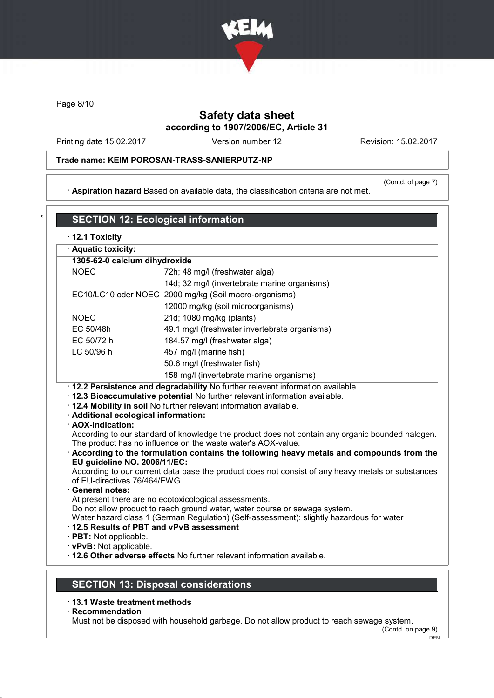

Page 8/10

# Safety data sheet according to 1907/2006/EC, Article 31

Printing date 15.02.2017 Version number 12 Revision: 15.02.2017

#### Trade name: KEIM POROSAN-TRASS-SANIERPUTZ-NP

· Aspiration hazard Based on available data, the classification criteria are not met.

(Contd. of page 7)

| · Aquatic toxicity:           |                                                                                                                                                                                                                                      |
|-------------------------------|--------------------------------------------------------------------------------------------------------------------------------------------------------------------------------------------------------------------------------------|
| 1305-62-0 calcium dihydroxide |                                                                                                                                                                                                                                      |
| <b>NOEC</b>                   | 72h; 48 mg/l (freshwater alga)                                                                                                                                                                                                       |
|                               | 14d; 32 mg/l (invertebrate marine organisms)                                                                                                                                                                                         |
|                               | EC10/LC10 oder NOEC 2000 mg/kg (Soil macro-organisms)                                                                                                                                                                                |
|                               | 12000 mg/kg (soil microorganisms)                                                                                                                                                                                                    |
| <b>NOEC</b>                   | 21d; 1080 mg/kg (plants)                                                                                                                                                                                                             |
| EC 50/48h                     | 49.1 mg/l (freshwater invertebrate organisms)                                                                                                                                                                                        |
| EC 50/72 h                    | 184.57 mg/l (freshwater alga)                                                                                                                                                                                                        |
| LC 50/96 h                    | 457 mg/l (marine fish)                                                                                                                                                                                                               |
|                               | 50.6 mg/l (freshwater fish)                                                                                                                                                                                                          |
|                               | 158 mg/l (invertebrate marine organisms)                                                                                                                                                                                             |
|                               | . 12.2 Persistence and degradability No further relevant information available.<br>. 12.3 Bioaccumulative potential No further relevant information available.<br>. 12.4 Mobility in soil No further relevant information available. |

ounded halogen. The product has no influence on the waste water's AOX-value.

· According to the formulation contains the following heavy metals and compounds from the EU guideline NO. 2006/11/EC:

According to our current data base the product does not consist of any heavy metals or substances of EU-directives 76/464/EWG.

#### · General notes:

At present there are no ecotoxicological assessments.

Do not allow product to reach ground water, water course or sewage system.

Water hazard class 1 (German Regulation) (Self-assessment): slightly hazardous for water

- · 12.5 Results of PBT and vPvB assessment
- · PBT: Not applicable.
- · vPvB: Not applicable.

· 12.6 Other adverse effects No further relevant information available.

### SECTION 13: Disposal considerations

- · 13.1 Waste treatment methods
- · Recommendation

Must not be disposed with household garbage. Do not allow product to reach sewage system.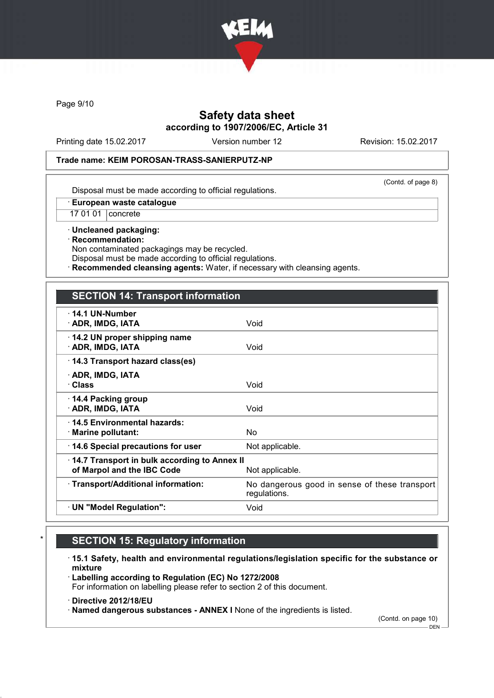

Page 9/10

# Safety data sheet according to 1907/2006/EC, Article 31

Printing date 15.02.2017 Version number 12 Revision: 15.02.2017

#### Trade name: KEIM POROSAN-TRASS-SANIERPUTZ-NP

(Contd. of page 8)

Disposal must be made according to official regulations.

· European waste catalogue

17 01 01 concrete

· Uncleaned packaging: · Recommendation: Non contaminated packagings may be recycled.

Disposal must be made according to official regulations.

Recommended cleansing agents: Water, if necessary with cleansing agents.

### SECTION 14: Transport information

| $\cdot$ 14.1 UN-Number<br>· ADR, IMDG, IATA<br>Void<br>14.2 UN proper shipping name<br>· ADR, IMDG, IATA<br>Void<br>14.3 Transport hazard class(es)<br>· ADR, IMDG, IATA<br>· Class<br>Void<br>14.4 Packing group<br>· ADR, IMDG, IATA<br>Void<br>⋅14.5 Environmental hazards:<br>$\cdot$ Marine pollutant:<br>No.<br>14.6 Special precautions for user<br>Not applicable.<br>14.7 Transport in bulk according to Annex II<br>of Marpol and the IBC Code<br>Not applicable.<br>· Transport/Additional information:<br>No dangerous good in sense of these transport<br>regulations. |  |
|-------------------------------------------------------------------------------------------------------------------------------------------------------------------------------------------------------------------------------------------------------------------------------------------------------------------------------------------------------------------------------------------------------------------------------------------------------------------------------------------------------------------------------------------------------------------------------------|--|
|                                                                                                                                                                                                                                                                                                                                                                                                                                                                                                                                                                                     |  |
|                                                                                                                                                                                                                                                                                                                                                                                                                                                                                                                                                                                     |  |
|                                                                                                                                                                                                                                                                                                                                                                                                                                                                                                                                                                                     |  |
|                                                                                                                                                                                                                                                                                                                                                                                                                                                                                                                                                                                     |  |
|                                                                                                                                                                                                                                                                                                                                                                                                                                                                                                                                                                                     |  |
|                                                                                                                                                                                                                                                                                                                                                                                                                                                                                                                                                                                     |  |
|                                                                                                                                                                                                                                                                                                                                                                                                                                                                                                                                                                                     |  |
|                                                                                                                                                                                                                                                                                                                                                                                                                                                                                                                                                                                     |  |
|                                                                                                                                                                                                                                                                                                                                                                                                                                                                                                                                                                                     |  |
| · UN "Model Regulation":<br>Void                                                                                                                                                                                                                                                                                                                                                                                                                                                                                                                                                    |  |

# **SECTION 15: Regulatory information**

· 15.1 Safety, health and environmental regulations/legislation specific for the substance or mixture

· Labelling according to Regulation (EC) No 1272/2008 For information on labelling please refer to section 2 of this document.

· Directive 2012/18/EU

· Named dangerous substances - ANNEX I None of the ingredients is listed.

(Contd. on page 10)

 $-$  DEN